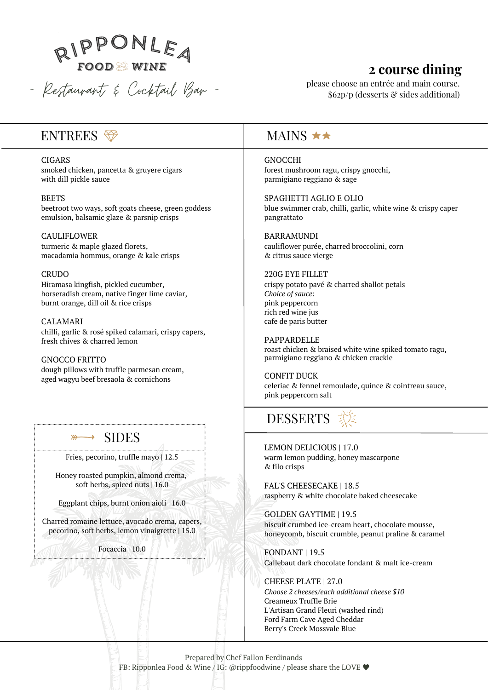

#### 2 course dining

please choose an entrée and main course. \$62p/p (desserts & sides additional)

#### ENTREES

**CIGARS** 

smoked chicken, pancetta & gruyere cigars with dill pickle sauce

**BEETS** 

beetroot two ways, soft goats cheese, green goddess emulsion, balsamic glaze & parsnip crisps

**CAULIFLOWER** turmeric & maple glazed florets, macadamia hommus, orange & kale crisps

**CRUDO** 

Hiramasa kingfish, pickled cucumber, horseradish cream, native finger lime caviar, burnt orange, dill oil & rice crisps

**CALAMARI** chilli, garlic & rosé spiked calamari, crispy capers, fresh chives & charred lemon

**GNOCCO ERITTO** dough pillows with truffle parmesan cream, aged wagyu beef bresaola & cornichons

#### **SIDES**  $\overline{\phantom{a}}$

Fries, pecorino, truffle mayo | 12.5

Honey roasted pumpkin, almond crema, soft herbs, spiced nuts | 16.0

Eggplant chips, burnt onion aioli | 16.0

Charred romaine lettuce, avocado crema, capers, pecorino, soft herbs, lemon vinaigrette | 15.0

Focaccia | 10.0

#### MAINS  $\star\star$

**GNOCCHI** forest mushroom ragu, crispy gnocchi, parmigiano reggiano & sage

SPAGHETTI AGLIO E OLIO blue swimmer crab, chilli, garlic, white wine & crispy caper pangrattato

**BARRAMUNDI** cauliflower purée, charred broccolini, corn & citrus sauce vierge

#### 220G EYE FILLET

crispy potato pavé & charred shallot petals Choice of sauce: pink peppercorn rich red wine jus cafe de paris butter

**PAPPARDELLE** roast chicken & braised white wine spiked tomato ragu, parmigiano reggiano & chicken crackle

**CONFIT DUCK** celeriac & fennel remoulade, quince & cointreau sauce, pink peppercorn salt

## **DESSERTS**

LEMON DELICIOUS | 17.0 warm lemon pudding, honey mascarpone & filo crisps

FAL'S CHEESECAKE | 18.5 raspberry & white chocolate baked cheesecake

**GOLDEN GAYTIME | 19.5** biscuit crumbed ice-cream heart, chocolate mousse, honeycomb, biscuit crumble, peanut praline & caramel

FONDANT | 19.5 Callebaut dark chocolate fondant & malt ice-cream

CHEESE PLATE | 27.0 Choose 2 cheeses/each additional cheese \$10 Creameux Truffle Brie L'Artisan Grand Fleuri (washed rind) Ford Farm Cave Aged Cheddar Berry's Creek Mossvale Blue

Prepared by Chef Fallon Ferdinands FB: Ripponlea Food & Wine / IG: @rippfoodwine / please share the LOVE ♥